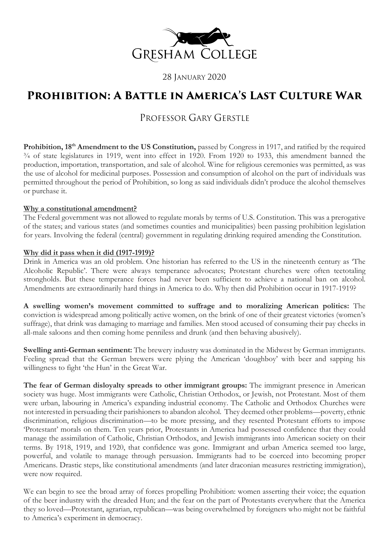

28 JANUARY 2020

# **Prohibition: A Battle in America's Last Culture War**

## PROFESSOR GARY GERSTLE

Prohibition, 18<sup>th</sup> Amendment to the US Constitution, passed by Congress in 1917, and ratified by the required ¾ of state legislatures in 1919, went into effect in 1920. From 1920 to 1933, this amendment banned the production, importation, transportation, and sale of alcohol. Wine for religious ceremonies was permitted, as was the use of alcohol for medicinal purposes. Possession and consumption of alcohol on the part of individuals was permitted throughout the period of Prohibition, so long as said individuals didn't produce the alcohol themselves or purchase it.

#### **Why a constitutional amendment?**

The Federal government was not allowed to regulate morals by terms of U.S. Constitution. This was a prerogative of the states; and various states (and sometimes counties and municipalities) been passing prohibition legislation for years. Involving the federal (central) government in regulating drinking required amending the Constitution.

### **Why did it pass when it did (1917-1919)?**

Drink in America was an old problem. One historian has referred to the US in the nineteenth century as 'The Alcoholic Republic'. There were always temperance advocates; Protestant churches were often teetotaling strongholds. But these temperance forces had never been sufficient to achieve a national ban on alcohol. Amendments are extraordinarily hard things in America to do. Why then did Prohibition occur in 1917-1919?

**A swelling women's movement committed to suffrage and to moralizing American politics:** The conviction is widespread among politically active women, on the brink of one of their greatest victories (women's suffrage), that drink was damaging to marriage and families. Men stood accused of consuming their pay checks in all-male saloons and then coming home penniless and drunk (and then behaving abusively).

**Swelling anti-German sentiment:** The brewery industry was dominated in the Midwest by German immigrants. Feeling spread that the German brewers were plying the American 'doughboy' with beer and sapping his willingness to fight 'the Hun' in the Great War.

**The fear of German disloyalty spreads to other immigrant groups:** The immigrant presence in American society was huge. Most immigrants were Catholic, Christian Orthodox, or Jewish, not Protestant. Most of them were urban, labouring in America's expanding industrial economy. The Catholic and Orthodox Churches were not interested in persuading their parishioners to abandon alcohol. They deemed other problems—poverty, ethnic discrimination, religious discrimination—to be more pressing, and they resented Protestant efforts to impose 'Protestant' morals on them. Ten years prior, Protestants in America had possessed confidence that they could manage the assimilation of Catholic, Christian Orthodox, and Jewish immigrants into American society on their terms. By 1918, 1919, and 1920, that confidence was gone. Immigrant and urban America seemed too large, powerful, and volatile to manage through persuasion. Immigrants had to be coerced into becoming proper Americans. Drastic steps, like constitutional amendments (and later draconian measures restricting immigration), were now required.

We can begin to see the broad array of forces propelling Prohibition: women asserting their voice; the equation of the beer industry with the dreaded Hun; and the fear on the part of Protestants everywhere that the America they so loved—Protestant, agrarian, republican—was being overwhelmed by foreigners who might not be faithful to America's experiment in democracy.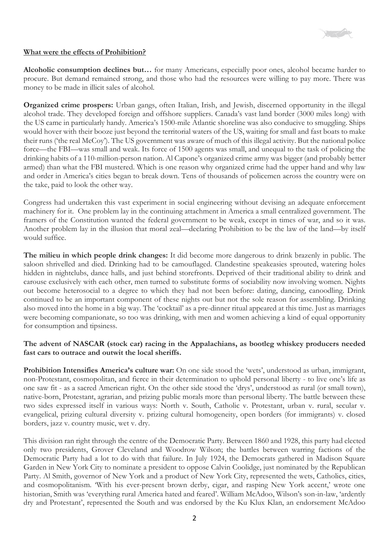

#### **What were the effects of Prohibition?**

**Alcoholic consumption declines but…** for many Americans, especially poor ones, alcohol became harder to procure. But demand remained strong, and those who had the resources were willing to pay more. There was money to be made in illicit sales of alcohol.

**Organized crime prospers:** Urban gangs, often Italian, Irish, and Jewish, discerned opportunity in the illegal alcohol trade. They developed foreign and offshore suppliers. Canada's vast land border (3000 miles long) with the US came in particularly handy. America's 1500-mile Atlantic shoreline was also conducive to smuggling. Ships would hover with their booze just beyond the territorial waters of the US, waiting for small and fast boats to make their runs ('the real McCoy'). The US government was aware of much of this illegal activity. But the national police force—the FBI—was small and weak. Its force of 1500 agents was small, and unequal to the task of policing the drinking habits of a 110-million-person nation. Al Capone's organized crime army was bigger (and probably better armed) than what the FBI mustered. Which is one reason why organized crime had the upper hand and why law and order in America's cities began to break down. Tens of thousands of policemen across the country were on the take, paid to look the other way.

Congress had undertaken this vast experiment in social engineering without devising an adequate enforcement machinery for it. One problem lay in the continuing attachment in America a small centralized government. The framers of the Constitution wanted the federal government to be weak, except in times of war, and so it was. Another problem lay in the illusion that moral zeal—declaring Prohibition to be the law of the land—by itself would suffice.

**The milieu in which people drink changes:** It did become more dangerous to drink brazenly in public. The saloon shrivelled and died. Drinking had to be camouflaged. Clandestine speakeasies sprouted, watering holes hidden in nightclubs, dance halls, and just behind storefronts. Deprived of their traditional ability to drink and carouse exclusively with each other, men turned to substitute forms of sociability now involving women. Nights out become heterosocial to a degree to which they had not been before: dating, dancing, canoodling. Drink continued to be an important component of these nights out but not the sole reason for assembling. Drinking also moved into the home in a big way. The 'cocktail' as a pre-dinner ritual appeared at this time. Just as marriages were becoming companionate, so too was drinking, with men and women achieving a kind of equal opportunity for consumption and tipsiness.

### **The advent of NASCAR (stock car) racing in the Appalachians, as bootleg whiskey producers needed fast cars to outrace and outwit the local sheriffs.**

**Prohibition Intensifies America's culture war:** On one side stood the 'wets', understood as urban, immigrant, non-Protestant, cosmopolitan, and fierce in their determination to uphold personal liberty - to live one's life as one saw fit - as a sacred American right. On the other side stood the 'drys', understood as rural (or small town), native-born, Protestant, agrarian, and prizing public morals more than personal liberty. The battle between these two sides expressed itself in various ways: North v. South, Catholic v. Protestant, urban v. rural, secular v. evangelical, prizing cultural diversity v. prizing cultural homogeneity, open borders (for immigrants) v. closed borders, jazz v. country music, wet v. dry.

This division ran right through the centre of the Democratic Party. Between 1860 and 1928, this party had elected only two presidents, Grover Cleveland and Woodrow Wilson; the battles between warring factions of the Democratic Party had a lot to do with that failure. In July 1924, the Democrats gathered in Madison Square Garden in New York City to nominate a president to oppose Calvin Coolidge, just nominated by the Republican Party. Al Smith, governor of New York and a product of New York City, represented the wets, Catholics, cities, and cosmopolitanism. 'With his ever-present brown derby, cigar, and rasping New York accent,' wrote one historian, Smith was 'everything rural America hated and feared'. William McAdoo, Wilson's son-in-law, 'ardently dry and Protestant', represented the South and was endorsed by the Ku Klux Klan, an endorsement McAdoo